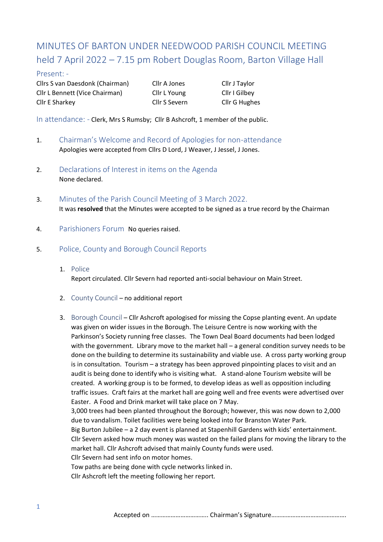# MINUTES OF BARTON UNDER NEEDWOOD PARISH COUNCIL MEETING held 7 April 2022 – 7.15 pm Robert Douglas Room, Barton Village Hall

## Present: -

Cllrs S van Daesdonk (Chairman) Cllr A Jones Cllr J Taylor Cllr L Bennett (Vice Chairman) Cllr L Young Cllr I Gilbey Cllr E Sharkey Cllr S Severn Cllr G Hughes

In attendance: - Clerk, Mrs S Rumsby; Cllr B Ashcroft, 1 member of the public.

- 1. Chairman's Welcome and Record of Apologies for non-attendance Apologies were accepted from Cllrs D Lord, J Weaver, J Jessel, J Jones.
- 2. Declarations of Interest in items on the Agenda None declared.
- 3. Minutes of the Parish Council Meeting of 3 March 2022. It was **resolved** that the Minutes were accepted to be signed as a true record by the Chairman
- 4. Parishioners Forum No queries raised.
- 5. Police, County and Borough Council Reports
	- 1. Police Report circulated. Cllr Severn had reported anti-social behaviour on Main Street.
	- 2. County Council no additional report
	- 3. Borough Council Cllr Ashcroft apologised for missing the Copse planting event. An update was given on wider issues in the Borough. The Leisure Centre is now working with the Parkinson's Society running free classes. The Town Deal Board documents had been lodged with the government. Library move to the market hall – a general condition survey needs to be done on the building to determine its sustainability and viable use. A cross party working group is in consultation. Tourism – a strategy has been approved pinpointing places to visit and an audit is being done to identify who is visiting what. A stand-alone Tourism website will be created. A working group is to be formed, to develop ideas as well as opposition including traffic issues. Craft fairs at the market hall are going well and free events were advertised over Easter. A Food and Drink market will take place on 7 May.

3,000 trees had been planted throughout the Borough; however, this was now down to 2,000 due to vandalism. Toilet facilities were being looked into for Branston Water Park. Big Burton Jubilee – a 2 day event is planned at Stapenhill Gardens with kids' entertainment. Cllr Severn asked how much money was wasted on the failed plans for moving the library to the

market hall. Cllr Ashcroft advised that mainly County funds were used.

Cllr Severn had sent info on motor homes.

Tow paths are being done with cycle networks linked in.

Cllr Ashcroft left the meeting following her report.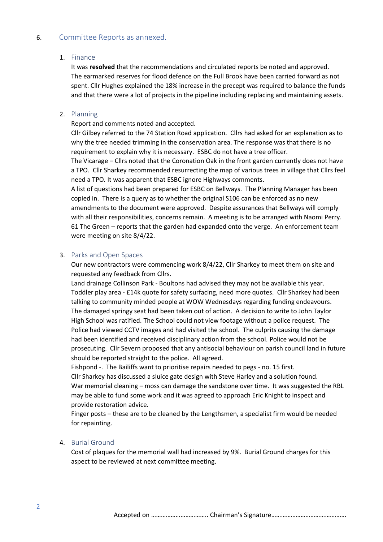## 6. Committee Reports as annexed.

#### 1. Finance

It was **resolved** that the recommendations and circulated reports be noted and approved. The earmarked reserves for flood defence on the Full Brook have been carried forward as not spent. Cllr Hughes explained the 18% increase in the precept was required to balance the funds and that there were a lot of projects in the pipeline including replacing and maintaining assets.

#### 2. Planning

#### Report and comments noted and accepted.

Cllr Gilbey referred to the 74 Station Road application. Cllrs had asked for an explanation as to why the tree needed trimming in the conservation area. The response was that there is no requirement to explain why it is necessary. ESBC do not have a tree officer.

The Vicarage – Cllrs noted that the Coronation Oak in the front garden currently does not have a TPO. Cllr Sharkey recommended resurrecting the map of various trees in village that Cllrs feel need a TPO. It was apparent that ESBC ignore Highways comments.

A list of questions had been prepared for ESBC on Bellways. The Planning Manager has been copied in. There is a query as to whether the original S106 can be enforced as no new amendments to the document were approved. Despite assurances that Bellways will comply with all their responsibilities, concerns remain. A meeting is to be arranged with Naomi Perry. 61 The Green – reports that the garden had expanded onto the verge. An enforcement team were meeting on site 8/4/22.

#### 3. Parks and Open Spaces

Our new contractors were commencing work 8/4/22, Cllr Sharkey to meet them on site and requested any feedback from Cllrs.

Land drainage Collinson Park - Boultons had advised they may not be available this year. Toddler play area - £14k quote for safety surfacing, need more quotes. Cllr Sharkey had been talking to community minded people at WOW Wednesdays regarding funding endeavours. The damaged springy seat had been taken out of action. A decision to write to John Taylor High School was ratified. The School could not view footage without a police request. The Police had viewed CCTV images and had visited the school. The culprits causing the damage had been identified and received disciplinary action from the school. Police would not be prosecuting. Cllr Severn proposed that any antisocial behaviour on parish council land in future should be reported straight to the police. All agreed.

Fishpond -. The Bailiffs want to prioritise repairs needed to pegs - no. 15 first.

Cllr Sharkey has discussed a sluice gate design with Steve Harley and a solution found. War memorial cleaning – moss can damage the sandstone over time. It was suggested the RBL may be able to fund some work and it was agreed to approach Eric Knight to inspect and provide restoration advice.

Finger posts – these are to be cleaned by the Lengthsmen, a specialist firm would be needed for repainting.

#### 4. Burial Ground

Cost of plaques for the memorial wall had increased by 9%. Burial Ground charges for this aspect to be reviewed at next committee meeting.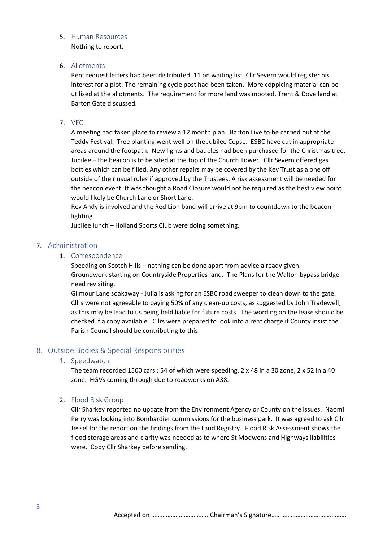#### 5. Human Resources

Nothing to report.

## 6. Allotments

Rent request letters had been distributed. 11 on waiting list. Cllr Severn would register his interest for a plot. The remaining cycle post had been taken. More coppicing material can be utilised at the allotments. The requirement for more land was mooted, Trent & Dove land at Barton Gate discussed.

#### 7. VEC

A meeting had taken place to review a 12 month plan. Barton Live to be carried out at the Teddy Festival. Tree planting went well on the Jubilee Copse. ESBC have cut in appropriate areas around the footpath. New lights and baubles had been purchased for the Christmas tree. Jubilee – the beacon is to be sited at the top of the Church Tower. Cllr Severn offered gas bottles which can be filled. Any other repairs may be covered by the Key Trust as a one off outside of their usual rules if approved by the Trustees. A risk assessment will be needed for the beacon event. It was thought a Road Closure would not be required as the best view point would likely be Church Lane or Short Lane.

Rev Andy is involved and the Red Lion band will arrive at 9pm to countdown to the beacon lighting.

Jubilee lunch – Holland Sports Club were doing something.

## 7. Administration

## 1. Correspondence

Speeding on Scotch Hills – nothing can be done apart from advice already given. Groundwork starting on Countryside Properties land. The Plans for the Walton bypass bridge need revisiting.

Gilmour Lane soakaway - Julia is asking for an ESBC road sweeper to clean down to the gate. Cllrs were not agreeable to paying 50% of any clean-up costs, as suggested by John Tradewell, as this may be lead to us being held liable for future costs. The wording on the lease should be checked if a copy available. Cllrs were prepared to look into a rent charge if County insist the Parish Council should be contributing to this.

## 8. Outside Bodies & Special Responsibilities

## 1. Speedwatch

The team recorded 1500 cars : 54 of which were speeding, 2 x 48 in a 30 zone, 2 x 52 in a 40 zone. HGVs coming through due to roadworks on A38.

## 2. Flood Risk Group

Cllr Sharkey reported no update from the Environment Agency or County on the issues. Naomi Perry was looking into Bombardier commissions for the business park. It was agreed to ask Cllr Jessel for the report on the findings from the Land Registry. Flood Risk Assessment shows the flood storage areas and clarity was needed as to where St Modwens and Highways liabilities were. Copy Cllr Sharkey before sending.